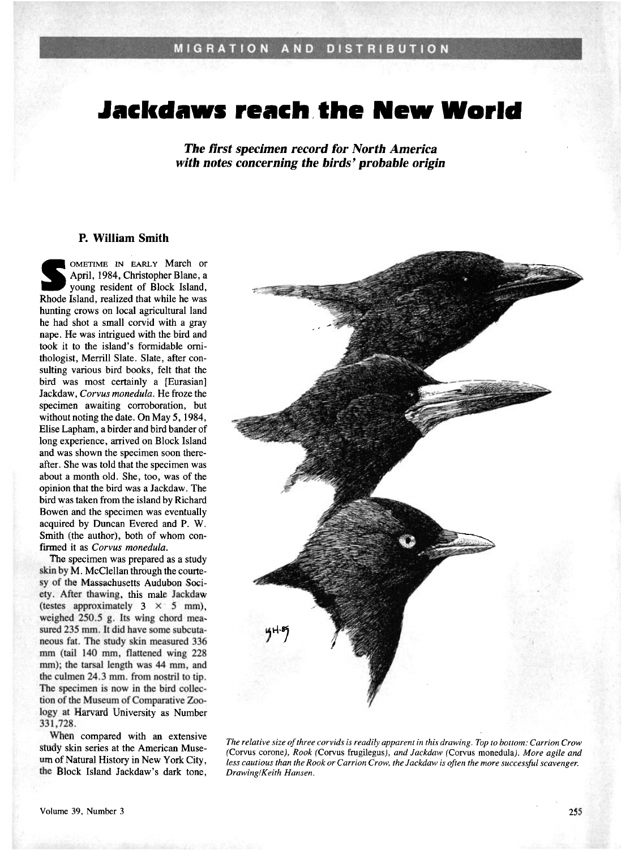## **Jackdaws reach the New World**

**The first specimen record for North America with notes concerning the birds' probable origin** 

## **P. William Smith**

**OMETIME IN EARLY March or April, I984, Christopher Blane, a young resident of Block Island, Rhode Island, realized that while he was hunting crows on local agricultural land he had shot a small corvid with a gray nape. He was intrigued with the bird and took it to the island's formidable ornithologist, Merrill Slate. Slate, after consulting various bird books, felt that the bird was most certainly a [Eurasian] Jackdaw, Corvus monedula. He froze the specimen awaiting corroboration, but without noting the date. On May 5, 1984, Elise Lapham, a birder and bird bander of long experience, arrived on Block Island and was shown the specimen soon thereafter. She was told that the specimen was about a month old. She, too, was of the opinion that the bird was a Jackdaw. The bird was taken from the island by Richard Bowen and the specimen was eventually acquired by Duncan Evered and P. W. Smith (the author), both of whom confirmed it as Corvus monedula.** 

**The specimen was prepared as a study skin by M. McClellan through the courtesy of the Massachusetts Audubon Society. After thawing, this male Jackdaw**  (testes approximately  $3 \times 5$  mm), **weighed 250.5 g. Its wing chord mea**sured 235 mm. It did have some subcuta**neous fat. The study skin measured 336 mm (tail 140 mm, flattened wing 228 mm); the tarsal length was 44 mm, and the culmen 24.3 min. from nostril to tip. The specimen is now in the bird collection of the Museum of Comparative Zoology at Harvard University as Number 331,728.** 

**When compared with an extensive study skin series at the American Museum of Natural History in New York City, the Block Island Jackdaw's dark tone,** 



**The relative size of three corvids is readily apparent in this drawing. Top to bottom: Carrion Crow (Corvus corone), Rook (Corvus frugilegus), and Jackdaw (Corvus monedula). More agile and less cautious than the Rook or Carrion Crow, the Jackdaw is often the more successful scavenger. Drawing/Keith Hansen.**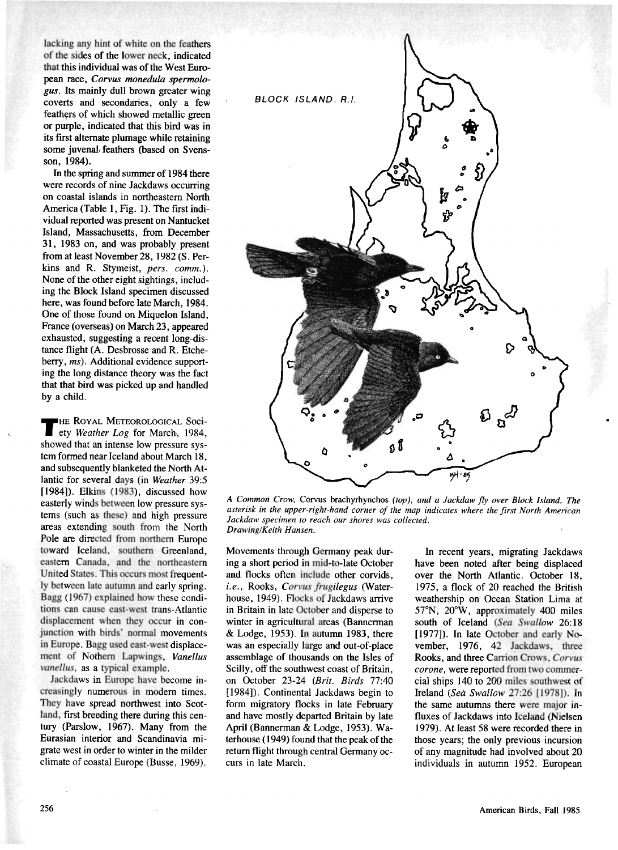**lacking any hint of white on the feathers of the sides of the lower neck, indicated that this individual was of the West European race, Corvus monedula spermologus. Its mainly dull brown greater wing coverts and secondaries, only a few feathers of which showed metallic green or purple, indicated that this bird was in its first alternate plumage while retaining some juvenal feathers (based on Svensson, 1984).** 

**In the spring and summer of 1984 there were records of nine Jackdaws occurring on coastal islands in northeastern North America (Table 1, Fig. 1). The first individual reported was present on Nantucket Island, Massachusetts, from December 31, 1983 on, and was probably present from at least November 28, 1982 (S. Perkins and R. Stymeist, pers. comm.). None of the other eight sightings, including the Block Island specimen discussed here, was found before late March, 1984. One of those found on Miquelon Island, France (overseas) on March 23, appeared exhausted, suggesting a recent long-distance flight (A. Desbrosse and R. Etcheberry, ms). Additional evidence supporting the long distance theory was the fact that that bird was picked up and handled by a child.** 

**•œ Ro¾^l• MEXEOROI•OaiC^L Soci-ety Weather Log for March, 1984, showed that an intense low pressure system formed near lceland about March 18, and subsequently blanketed the North Atlantic for several days (in Weather 39:5 [1984]). Elkins (1983), discussed how easterly winds between low pressure systems (such as these) and high pressure areas extending south from the North Pole are directed from northern Europe toward Iceland, southern Greenland, eastern Canada, and the northeastern United States. This occurs most frequently between late autumn and early spring. B agg (1967) explained how these conditions can cause east-west trans-Atlantic displacement when they occur in conjunction with birds' normal movements in Europe. Bagg used east-west displacement of Nothem Lapwings, Vanellus vanellus, as a typical example.** 

**Jackdaws in Europe have become increasingly numerous in modem times. They have spread northwest into Scotland, first breeding there during this century (Parslow, 1967). Many from the Eurasian interior and Scandinavia migrate west in order to winter in the milder climate of coastal Europe (Busse, 1969).** 



**A Common Crow, Corvus brachyrhynchos (top), and a Jackdaw fly over Block Island. The asterisk in the upper-right-hand corner of the map indicates where the first North American Jackdaw specimen to reach our shores was collected. Drawing/Keith Hansen.** 

**Movements through Germany peak during a short period in mid-to-late October and flocks often include other corvids, i.e., Rooks, Corvus frugilegus (Waterhouse, 1949). Flocks of Jackdaws arrive in Britain in late October and disperse to winter in agricultural areas (Bannerman & Lodge, 1953). In autumn 1983, there was an especially large and out-of-place assemblage of thousands on the Isles of Scilly, off the southwest coast of Britain, on October 23-24 (Brit. Birds 77:40 [1984]). Continental Jackdaws begin to form migratory flocks in late February and have mostly departed Britain by late April (Bannerman & Lodge, 1953). Waterhouse (1949) found that the peak of the return flight through central Germany occurs in late March.** 

**In recent years, migrating Jackdaws have been noted after being displaced over the North Atlantic. October 18, 1975, a flock of 20 reached the British weathership on Ocean Station Lima at 57øN, 20øW, approximately 400 miles south of Iceland (Sea Swallow 26:18 [1977]). In late October and early November, 1976, 42 Jackdaws, three Rooks, and three Carrion Crows, Corvus corone, were reported from two commercial ships 140 to 200 miles southwest of Ireland (Sea Swallow 27:26 [1978]). In the same autumns there were major influxes of Jackdaws into Iceland (Nielsen 1979). At least 58 were recorded there in those years; the only previous incursion of any magnitude had involved about 20 individuals in autumn 1952. European**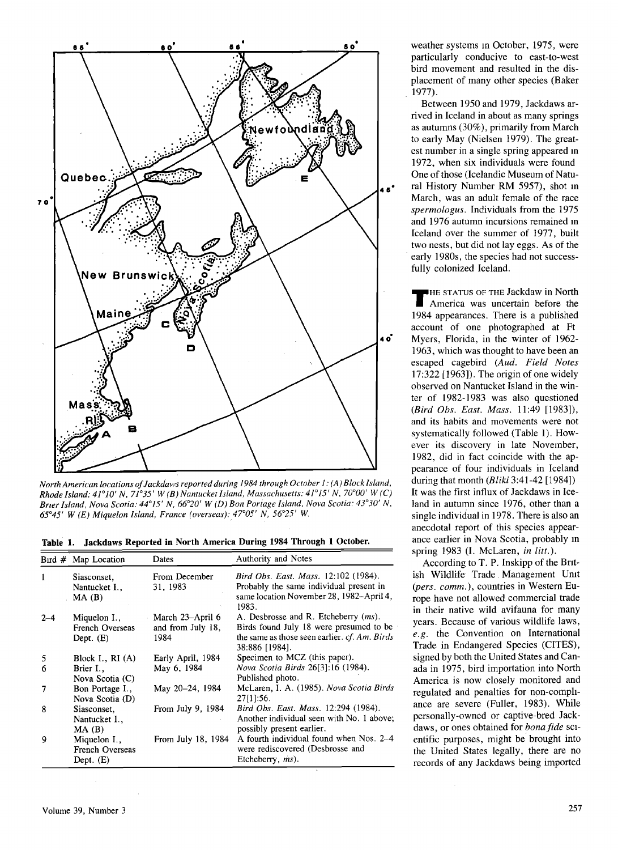

North American locations of Jackdaws reported during 1984 through October 1: (A) Block Island, **Rhode Island:**  $41^{\circ}10'$  **N,**  $71^{\circ}35'$  **W (B) Nantucket Island, Massachusetts:**  $41^{\circ}15'$  **N,**  $70^{\circ}00'$  **W (C)** Brier Island, Nova Scotia: 44°15' N, 66°20' W (D) Bon Portage Island, Nova Scotia: 43°30' N, **65o45 ' W (E) Miquelon Island, France (overseas): 47005 ' N, 56o25 ' W.** 

**Table 1. Jackdaws Reported in North America During 1984 Through 1 October.** 

|         | Bird $#$ Map Location                                 | Dates                                         | Authority and Notes                                                                                                                                         |
|---------|-------------------------------------------------------|-----------------------------------------------|-------------------------------------------------------------------------------------------------------------------------------------------------------------|
| 1       | Siasconset,<br>Nantucket I.,<br>$MA$ (B)              | From December<br>31, 1983                     | Bird Obs. East. Mass. 12:102 (1984).<br>Probably the same individual present in<br>same location November 28, 1982-April 4,<br>1983.                        |
| $2 - 4$ | Miquelon I.,<br><b>French Overseas</b><br>Dept. $(E)$ | March 23-April 6<br>and from July 18,<br>1984 | A. Desbrosse and R. Etcheberry ( <i>ms</i> ).<br>Birds found July 18 were presumed to be<br>the same as those seen earlier. cf. Am. Birds<br>38:886 [1984]. |
| 5       | Block I., $RI(A)$                                     | Early April, 1984                             | Specimen to MCZ (this paper).                                                                                                                               |
| 6       | Brier I.,<br>Nova Scotia (C)                          | May 6, 1984                                   | Nova Scotia Birds 26[3]:16 (1984).<br>Published photo.                                                                                                      |
| 7       | Bon Portage I.,<br>Nova Scotia (D)                    | May 20–24, 1984                               | McLaren, I. A. (1985). Nova Scotia Birds<br>27[1]:56.                                                                                                       |
| 8       | Siasconset,<br>Nantucket I.,<br>$MA$ $(B)$            | From July 9, 1984                             | Bird Obs. East. Mass. 12:294 (1984).<br>Another individual seen with No. 1 above;<br>possibly present earlier.                                              |
| 9       | Miquelon I.,<br>French Overseas<br>Dept. $(E)$        | From July 18, 1984                            | A fourth individual found when Nos. 2-4<br>were rediscovered (Desbrosse and<br>Etcheberry, ms).                                                             |

**weather systems in October, 1975, were particularly conducive to east-to-west bird movement and resulted in the displacement of many other species (Baker 1977).** 

**Between 1950 and 1979, Jackdaws arrived in Iceland in about as many springs as autumns (30%), primarily from March to early May (Nielsen 1979). The greatest number in a single spring appeared in 1972, when six individuals were found One of those (Icelandic Museum of Natural History Number RM 5957), shot in March, was an adult female of the race spermologus. Individuals from the 1975 and 1976 autumn incursions remained in Iceland over the summer of 1977, built two nests, but did not lay eggs. As of the early 1980s, the species had not successfully colonized Iceland.** 

**IHE STATUS OF THE Jackdaw in North America was uncertain before the 1984 appearances. There is a published account of one photographed at Ft Myers, Florida, in the winter of 1962- 1963, which was thought to have been an escaped cagebird (Aud. Field Notes 17:322 [1963]). The origin of one widely observed on Nantucket Island in the winter of 1982-1983 was also questioned (Bird Obs. East. Mass. 11:49 [1983]), and its habits and movements were not systematically followed (Table 1). However its discovery in late November, 1982, did in fact coincide with the appearance of four individuals in Iceland during that month (Bliki 3:41-42 [1984]) It was the first influx of Jackdaws in Iceland in autumn since 1976, other than a single individual in1978. There is also an anecdotal report of this species appearance earlier in Nova Scotia, probably in spring 1983 (I. McLaren, in litt.).** 

**According to T. P. Inskipp of the British Wildlife Trade Management Unit (pers. comm.), countries in Western Europe have not allowed commercial trade in their native wild avifauna for many years. Because of various wildlife laws, e.g. the Convention on International Trade in Endangered Species (CITES), signed by both the United States and Canada in 1975, bird importation into North America is now closely monitored and regulated and penalties for non-compliance are severe (Fuller, 1983). While personally-owned or captive-bred Jackdaws, or ones obtained for bona fide scientific purposes, might be brought into the United States legally, there are no records of any Jackdaws being imported**